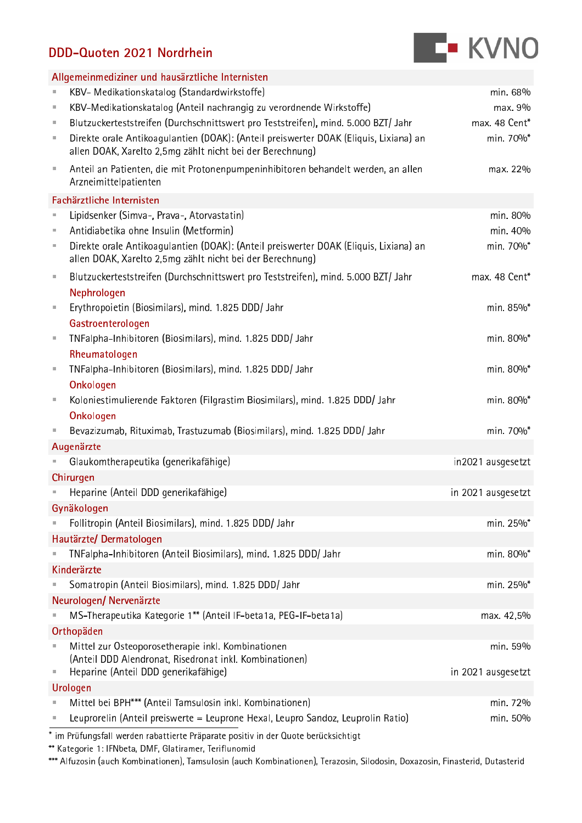## DDD-Quoten 2021 Nordrhein



| Allgemeinmediziner und hausärztliche Internisten |                                                                                                                                                    |                    |  |  |  |
|--------------------------------------------------|----------------------------------------------------------------------------------------------------------------------------------------------------|--------------------|--|--|--|
| $\equiv$                                         | KBV- Medikationskatalog (Standardwirkstoffe)                                                                                                       | min. 68%           |  |  |  |
| ×,                                               | KBV-Medikationskatalog (Anteil nachrangig zu verordnende Wirkstoffe)                                                                               | max. 9%            |  |  |  |
| $\pm$                                            | Blutzuckerteststreifen (Durchschnittswert pro Teststreifen), mind. 5.000 BZT/ Jahr                                                                 | max. 48 Cent*      |  |  |  |
| ×,                                               | Direkte orale Antikoagulantien (DOAK): (Anteil preiswerter DOAK (Eliquis, Lixiana) an<br>allen DOAK, Xarelto 2,5mg zählt nicht bei der Berechnung) | min. 70%*          |  |  |  |
| $\pm$                                            | Anteil an Patienten, die mit Protonenpumpeninhibitoren behandelt werden, an allen<br>Arzneimittelpatienten                                         | max. 22%           |  |  |  |
|                                                  | Fachärztliche Internisten                                                                                                                          |                    |  |  |  |
| $\equiv$                                         | Lipidsenker (Simva-, Prava-, Atorvastatin)                                                                                                         | min. 80%           |  |  |  |
| ×,                                               | Antidiabetika ohne Insulin (Metformin)                                                                                                             | min. 40%           |  |  |  |
| $\pm$                                            | Direkte orale Antikoagulantien (DOAK): (Anteil preiswerter DOAK (Eliquis, Lixiana) an<br>allen DOAK, Xarelto 2,5mg zählt nicht bei der Berechnung) | min. 70%*          |  |  |  |
| $\equiv$                                         | Blutzuckerteststreifen (Durchschnittswert pro Teststreifen), mind. 5.000 BZT/ Jahr                                                                 | max. 48 Cent*      |  |  |  |
|                                                  | Nephrologen                                                                                                                                        |                    |  |  |  |
| $\pm$                                            | Erythropoietin (Biosimilars), mind. 1.825 DDD/ Jahr                                                                                                | min. 85%*          |  |  |  |
|                                                  | Gastroenterologen                                                                                                                                  |                    |  |  |  |
| $\pm$                                            | TNFalpha-Inhibitoren (Biosimilars), mind. 1.825 DDD/ Jahr                                                                                          | min. 80%*          |  |  |  |
|                                                  | Rheumatologen                                                                                                                                      |                    |  |  |  |
| $\bar{a}$                                        | TNFalpha-Inhibitoren (Biosimilars), mind. 1.825 DDD/ Jahr                                                                                          | min. 80%*          |  |  |  |
|                                                  | Onkologen                                                                                                                                          |                    |  |  |  |
| $\equiv$                                         | Koloniestimulierende Faktoren (Filgrastim Biosimilars), mind. 1.825 DDD/ Jahr                                                                      | min. 80%*          |  |  |  |
|                                                  | Onkologen                                                                                                                                          |                    |  |  |  |
| д                                                | Bevazizumab, Rituximab, Trastuzumab (Biosimilars), mind. 1.825 DDD/ Jahr                                                                           | min. 70%*          |  |  |  |
|                                                  | Augenärzte                                                                                                                                         |                    |  |  |  |
|                                                  | Glaukomtherapeutika (generikafähige)                                                                                                               | in2021 ausgesetzt  |  |  |  |
|                                                  | Chirurgen                                                                                                                                          |                    |  |  |  |
|                                                  | Heparine (Anteil DDD generikafähige)                                                                                                               | in 2021 ausgesetzt |  |  |  |
|                                                  | Gynäkologen                                                                                                                                        |                    |  |  |  |
|                                                  | Follitropin (Anteil Biosimilars), mind. 1.825 DDD/ Jahr                                                                                            | min. 25%*          |  |  |  |
| Hautärzte/Dermatologen                           |                                                                                                                                                    |                    |  |  |  |
|                                                  | TNFalpha-Inhibitoren (Anteil Biosimilars), mind. 1.825 DDD/ Jahr                                                                                   | min. 80%*          |  |  |  |
|                                                  | Kinderärzte                                                                                                                                        |                    |  |  |  |
|                                                  | Somatropin (Anteil Biosimilars), mind. 1.825 DDD/ Jahr                                                                                             | min. 25%*          |  |  |  |
|                                                  | Neurologen/ Nervenärzte                                                                                                                            |                    |  |  |  |
|                                                  | MS-Therapeutika Kategorie 1** (Anteil IF-beta1a, PEG-IF-beta1a)                                                                                    | max. 42,5%         |  |  |  |
|                                                  | Orthopäden                                                                                                                                         |                    |  |  |  |
|                                                  | Mittel zur Osteoporosetherapie inkl. Kombinationen                                                                                                 | min. 59%           |  |  |  |
|                                                  | (Anteil DDD Alendronat, Risedronat inkl. Kombinationen)                                                                                            |                    |  |  |  |
| ш                                                | Heparine (Anteil DDD generikafähige)                                                                                                               | in 2021 ausgesetzt |  |  |  |
| Urologen                                         |                                                                                                                                                    |                    |  |  |  |
|                                                  | Mittel bei BPH*** (Anteil Tamsulosin inkl. Kombinationen)<br>Leuprorelin (Anteil preiswerte = Leuprone Hexal, Leupro Sandoz, Leuprolin Ratio)      | min. 72%           |  |  |  |
|                                                  |                                                                                                                                                    | min. 50%           |  |  |  |

\* im Prüfungsfall werden rabattierte Präparate positiv in der Quote berücksichtigt

\*\* Kategorie 1: IFNbeta, DMF, Glatiramer, Teriflunomid

\*\*\* Alfuzosin (auch Kombinationen), Tamsulosin (auch Kombinationen), Terazosin, Silodosin, Doxazosin, Finasterid, Dutasterid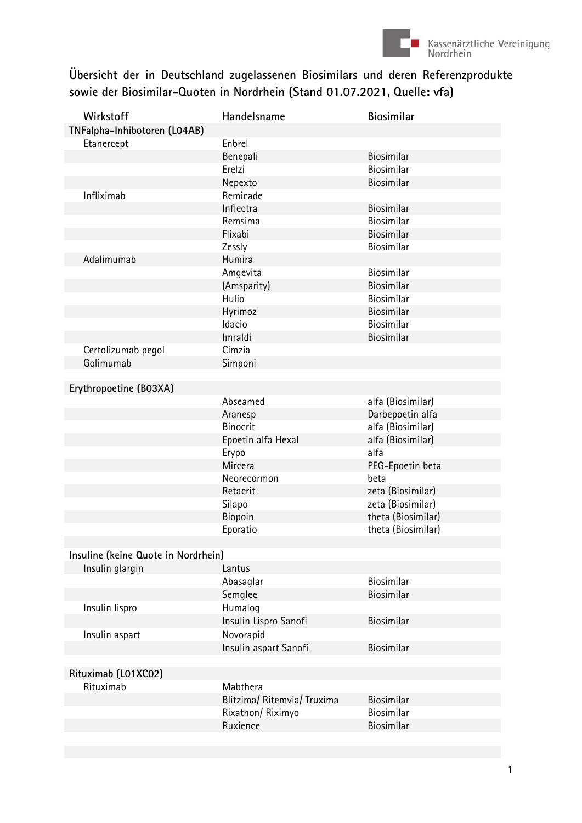

## Übersicht der in Deutschland zugelassenen Biosimilars und deren Referenzprodukte sowie der Biosimilar-Quoten in Nordrhein (Stand 01.07.2021, Quelle: vfa)

| Wirkstoff                           | Handelsname                 | <b>Biosimilar</b>  |  |  |  |  |
|-------------------------------------|-----------------------------|--------------------|--|--|--|--|
| TNFalpha-Inhibotoren (LO4AB)        |                             |                    |  |  |  |  |
| Etanercept                          | Enbrel                      |                    |  |  |  |  |
|                                     | Benepali                    | Biosimilar         |  |  |  |  |
|                                     | Erelzi                      | Biosimilar         |  |  |  |  |
|                                     | Nepexto                     | Biosimilar         |  |  |  |  |
| Infliximab                          | Remicade                    |                    |  |  |  |  |
|                                     | Inflectra                   | Biosimilar         |  |  |  |  |
|                                     | Remsima                     | Biosimilar         |  |  |  |  |
|                                     | Flixabi                     | Biosimilar         |  |  |  |  |
|                                     | Zessly                      | Biosimilar         |  |  |  |  |
| Adalimumab                          | Humira                      |                    |  |  |  |  |
|                                     | Amgevita                    | Biosimilar         |  |  |  |  |
|                                     | (Amsparity)                 | Biosimilar         |  |  |  |  |
|                                     | Hulio                       | Biosimilar         |  |  |  |  |
|                                     | Hyrimoz                     | Biosimilar         |  |  |  |  |
|                                     | Idacio                      | Biosimilar         |  |  |  |  |
|                                     | Imraldi                     | Biosimilar         |  |  |  |  |
| Certolizumab pegol                  | Cimzia                      |                    |  |  |  |  |
| Golimumab                           | Simponi                     |                    |  |  |  |  |
|                                     |                             |                    |  |  |  |  |
| Erythropoetine (B03XA)              |                             |                    |  |  |  |  |
|                                     | Abseamed                    | alfa (Biosimilar)  |  |  |  |  |
|                                     | Aranesp                     | Darbepoetin alfa   |  |  |  |  |
|                                     | <b>Binocrit</b>             | alfa (Biosimilar)  |  |  |  |  |
|                                     | Epoetin alfa Hexal          | alfa (Biosimilar)  |  |  |  |  |
|                                     | Erypo                       | alfa               |  |  |  |  |
|                                     | Mircera                     | PEG-Epoetin beta   |  |  |  |  |
|                                     | Neorecormon                 | beta               |  |  |  |  |
|                                     | Retacrit                    | zeta (Biosimilar)  |  |  |  |  |
|                                     | Silapo                      | zeta (Biosimilar)  |  |  |  |  |
|                                     | Biopoin                     | theta (Biosimilar) |  |  |  |  |
|                                     | Eporatio                    | theta (Biosimilar) |  |  |  |  |
|                                     |                             |                    |  |  |  |  |
| Insuline (keine Quote in Nordrhein) |                             |                    |  |  |  |  |
| Insulin glargin                     | Lantus                      |                    |  |  |  |  |
|                                     | Abasaglar                   | Biosimilar         |  |  |  |  |
|                                     | Semglee                     | Biosimilar         |  |  |  |  |
| Insulin lispro                      | Humalog                     |                    |  |  |  |  |
|                                     | Insulin Lispro Sanofi       | Biosimilar         |  |  |  |  |
| Insulin aspart                      | Novorapid                   |                    |  |  |  |  |
|                                     | Insulin aspart Sanofi       | Biosimilar         |  |  |  |  |
|                                     |                             |                    |  |  |  |  |
| Rituximab (L01XC02)                 |                             |                    |  |  |  |  |
| Rituximab                           | Mabthera                    |                    |  |  |  |  |
|                                     | Blitzima/ Ritemvia/ Truxima | Biosimilar         |  |  |  |  |
|                                     | Rixathon/ Riximyo           | Biosimilar         |  |  |  |  |
|                                     | Ruxience                    | Biosimilar         |  |  |  |  |
|                                     |                             |                    |  |  |  |  |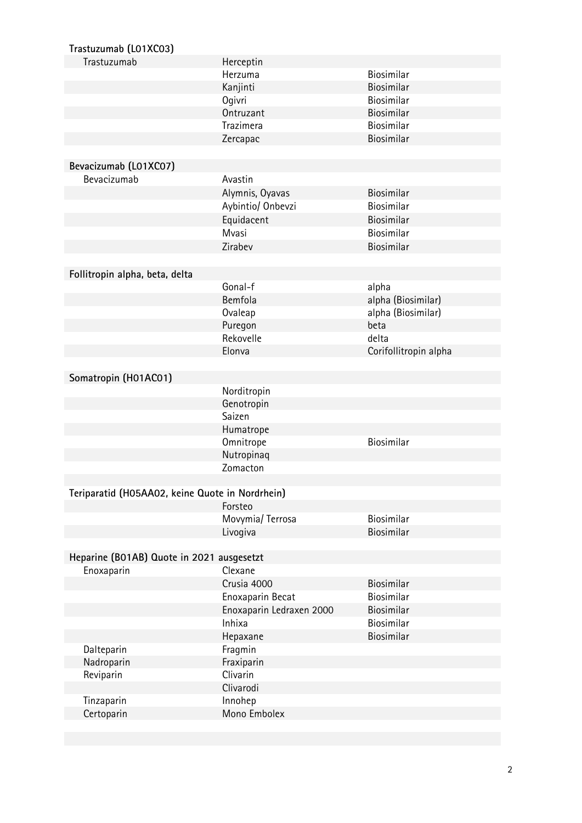| Trastuzumab (L01XC03)                           |                          |                       |
|-------------------------------------------------|--------------------------|-----------------------|
| Trastuzumab                                     | Herceptin                |                       |
|                                                 | Herzuma                  | Biosimilar            |
|                                                 | Kanjinti                 | Biosimilar            |
|                                                 | Ogivri                   | Biosimilar            |
|                                                 | Ontruzant                | Biosimilar            |
|                                                 | Trazimera                | Biosimilar            |
|                                                 | Zercapac                 | Biosimilar            |
|                                                 |                          |                       |
| Bevacizumab (L01XC07)                           |                          |                       |
| Bevacizumab                                     | Avastin                  |                       |
|                                                 | Alymnis, Oyavas          | Biosimilar            |
|                                                 | Aybintio/ Onbevzi        | Biosimilar            |
|                                                 | Equidacent               | Biosimilar            |
|                                                 | Mvasi                    | Biosimilar            |
|                                                 | Zirabev                  | Biosimilar            |
|                                                 |                          |                       |
| Follitropin alpha, beta, delta                  |                          |                       |
|                                                 | Gonal-f                  | alpha                 |
|                                                 | Bemfola                  | alpha (Biosimilar)    |
|                                                 | Ovaleap                  | alpha (Biosimilar)    |
|                                                 | Puregon                  | beta                  |
|                                                 | Rekovelle                | delta                 |
|                                                 | Elonva                   | Corifollitropin alpha |
|                                                 |                          |                       |
| Somatropin (H01AC01)                            |                          |                       |
|                                                 | Norditropin              |                       |
|                                                 | Genotropin               |                       |
|                                                 | Saizen                   |                       |
|                                                 | Humatrope                |                       |
|                                                 | Omnitrope                | Biosimilar            |
|                                                 | Nutropinaq               |                       |
|                                                 | Zomacton                 |                       |
|                                                 |                          |                       |
| Teriparatid (H05AA02, keine Quote in Nordrhein) |                          |                       |
|                                                 | Forsteo                  |                       |
|                                                 | Movymia/ Terrosa         | Biosimilar            |
|                                                 | Livogiva                 | Biosimilar            |
|                                                 |                          |                       |
| Heparine (B01AB) Quote in 2021 ausgesetzt       |                          |                       |
| Enoxaparin                                      | Clexane                  |                       |
|                                                 | Crusia 4000              | Biosimilar            |
|                                                 | Enoxaparin Becat         | Biosimilar            |
|                                                 | Enoxaparin Ledraxen 2000 | Biosimilar            |
|                                                 | Inhixa                   | Biosimilar            |
|                                                 | Hepaxane                 | Biosimilar            |
| Dalteparin                                      | Fragmin                  |                       |
| Nadroparin                                      | Fraxiparin               |                       |
| Reviparin                                       | Clivarin                 |                       |
|                                                 | Clivarodi                |                       |
| Tinzaparin                                      | Innohep                  |                       |
| Certoparin                                      | Mono Embolex             |                       |
|                                                 |                          |                       |